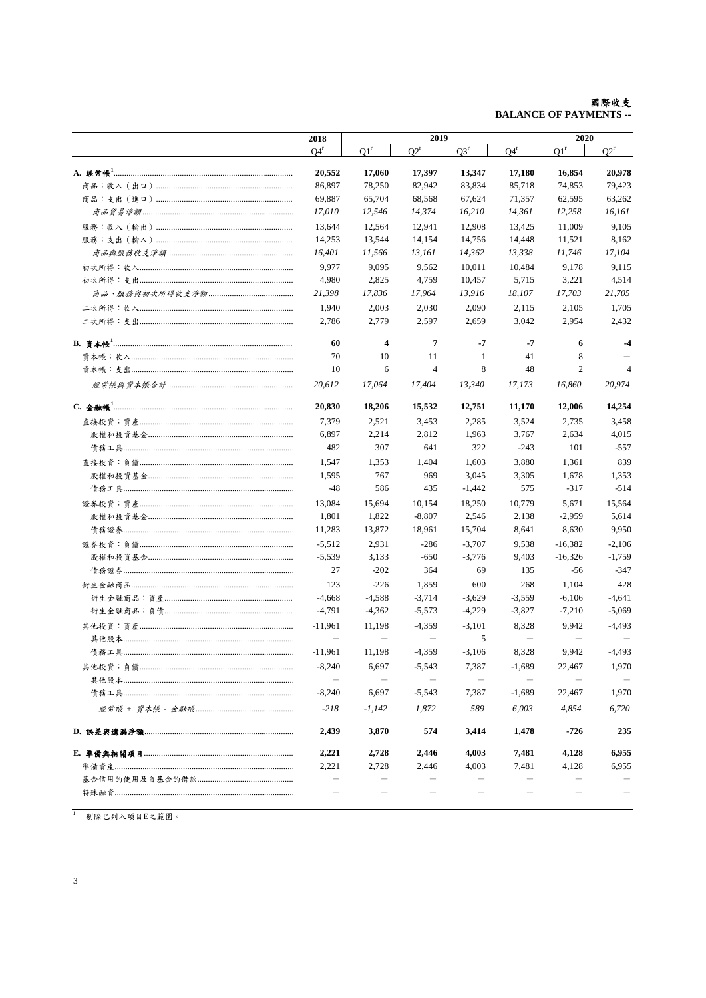## **國際收支**<br>-- BALANCE OF PAYMENTS

| 2018                     |                   | 2019           |          |                                   |                   | 2020           |  |
|--------------------------|-------------------|----------------|----------|-----------------------------------|-------------------|----------------|--|
| $O4^r$                   | O1 <sup>r</sup>   | $O2^r$         | $O3^r$   | $Q4^r$                            | Q1 <sup>r</sup>   | $O2^r$         |  |
| 20,552                   | 17,060            | 17,397         | 13,347   | 17,180                            | 16,854            | 20,978         |  |
| 86,897                   | 78,250            | 82,942         | 83,834   | 85,718                            | 74,853            | 79,423         |  |
| 69,887                   | 65,704            | 68,568         | 67.624   | 71,357                            | 62,595            | 63,262         |  |
| 17,010                   | 12,546            | 14,374         | 16,210   | 14,361                            | 12.258            | 16,161         |  |
| 13,644                   | 12,564            | 12,941         | 12,908   | 13,425                            | 11,009            | 9,105          |  |
| 14,253                   | 13,544            | 14,154         | 14,756   | 14,448                            | 11,521            | 8,162          |  |
| 16,401                   | 11,566            | 13,161         | 14,362   | 13,338                            | 11,746            | 17,104         |  |
| 9,977                    | 9,095             | 9,562          | 10,011   | 10,484                            | 9,178             | 9,115          |  |
| 4,980                    | 2,825             | 4,759          | 10,457   | 5,715                             | 3,221             | 4,514          |  |
| 21,398                   | 17,836            | 17,964         | 13,916   | 18,107                            | 17,703            | 21,705         |  |
| 1,940                    | 2,003             | 2,030          | 2,090    | 2,115                             | 2,105             | 1,705          |  |
| 2,786                    | 2,779             | 2,597          | 2,659    | 3,042                             | 2,954             | 2,432          |  |
|                          |                   |                |          |                                   |                   |                |  |
| 60                       | 4                 | 7              | $-7$     | $-7$                              | 6                 | $-4$           |  |
| 70                       | 10                | 11             | -1       | 41                                | 8                 |                |  |
| 10                       | 6                 | $\overline{4}$ | 8        | 48                                | $\overline{2}$    | $\overline{4}$ |  |
| 20.612                   | 17,064            | 17,404         | 13,340   | 17,173                            | 16,860            | 20,974         |  |
| 20.830                   | 18,206            | 15,532         | 12,751   | 11,170                            | 12,006            | 14,254         |  |
| 7,379                    | 2,521             | 3,453          | 2,285    | 3,524                             | 2,735             | 3,458          |  |
| 6,897                    | 2,214             | 2,812          | 1,963    | 3,767                             | 2,634             | 4,015          |  |
| 482                      | 307               | 641            | 322      | $-243$                            | 101               | $-557$         |  |
| 1,547                    | 1,353             | 1,404          | 1,603    | 3,880                             | 1,361             | 839            |  |
| 1,595                    | 767               | 969            | 3,045    | 3,305                             | 1,678             | 1,353          |  |
| $-48$                    | 586               | 435            | $-1,442$ | 575                               | $-317$            | $-514$         |  |
| 13,084                   | 15,694            | 10,154         | 18,250   | 10,779                            | 5,671             | 15,564         |  |
| 1,801                    | 1,822             | $-8,807$       | 2,546    | 2,138                             | $-2,959$          | 5,614          |  |
| 11,283                   | 13,872            | 18,961         | 15,704   | 8,641                             | 8,630             | 9,950          |  |
| $-5,512$                 | 2,931             | $-286$         | $-3,707$ | 9,538                             | $-16,382$         | $-2,106$       |  |
| $-5,539$                 | 3,133             | $-650$         | $-3,776$ | 9,403                             | $-16,326$         | $-1,759$       |  |
| 27                       | $-202$            | 364            | 69       | 135                               | $-56$             | $-347$         |  |
| 123                      | $-226$            | 1,859          | 600      | 268                               | 1,104             | 428            |  |
| $-4,668$                 | $-4,588$          | $-3,714$       | $-3,629$ | $-3,559$                          | $-6,106$          | $-4,641$       |  |
| $-4,791$                 | $-4,362$          | $-5,573$       | $-4,229$ | $-3,827$                          | $-7,210$          | $-5,069$       |  |
| $-11.961$                | 11,198            | $-4,359$       | $-3,101$ | 8,328                             | 9,942             | $-4,493$       |  |
| $\qquad \qquad -$        | $\qquad \qquad -$ |                | 5        | $\overbrace{\phantom{123221111}}$ | $\qquad \qquad -$ |                |  |
| $-11,961$                | 11,198            | $-4,359$       | $-3,106$ | 8,328                             | 9,942             | $-4,493$       |  |
| $-8,240$                 | 6,697             | $-5,543$       | 7,387    | $-1,689$                          | 22,467            | 1,970          |  |
|                          |                   |                |          |                                   |                   |                |  |
| $-8,240$                 | 6,697             | $-5,543$       | 7,387    | $-1,689$                          | 22,467            | 1,970          |  |
| $-218$                   | $-1,142$          | 1,872          | 589      | 6,003                             | 4,854             | 6,720          |  |
| 2,439                    | 3,870             | 574            | 3,414    | 1,478                             | -726              | 235            |  |
| 2,221                    | 2,728             | 2,446          | 4,003    | 7,481                             | 4,128             | 6,955          |  |
| 2,221                    | 2,728             | 2,446          | 4,003    | 7,481                             | 4,128             | 6,955          |  |
| $\overline{\phantom{0}}$ |                   |                |          |                                   |                   |                |  |
|                          |                   |                |          |                                   |                   |                |  |
|                          |                   |                |          |                                   |                   |                |  |

 $1$  剔除已列入項目E之範圍。